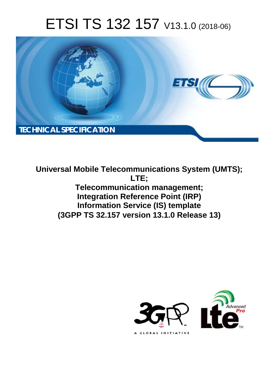# ETSI TS 132 157 V13.1.0 (2018-06)



**Universal Mobile Telecommunications System (UMTS); LTE; Telecommunication management; Integration Reference Point (IRP) Information Service (IS) template (3GPP TS 32.157 version 13.1.0 Release 13)** 

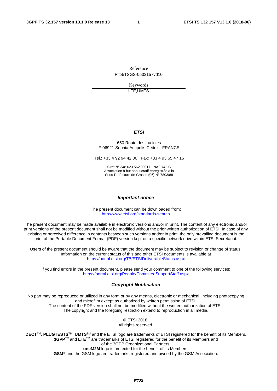Reference RTS/TSGS-0532157vd10

> Keywords LTE,UMTS

#### *ETSI*

#### 650 Route des Lucioles F-06921 Sophia Antipolis Cedex - FRANCE

Tel.: +33 4 92 94 42 00 Fax: +33 4 93 65 47 16

Siret N° 348 623 562 00017 - NAF 742 C Association à but non lucratif enregistrée à la Sous-Préfecture de Grasse (06) N° 7803/88

#### *Important notice*

The present document can be downloaded from: <http://www.etsi.org/standards-search>

The present document may be made available in electronic versions and/or in print. The content of any electronic and/or print versions of the present document shall not be modified without the prior written authorization of ETSI. In case of any existing or perceived difference in contents between such versions and/or in print, the only prevailing document is the print of the Portable Document Format (PDF) version kept on a specific network drive within ETSI Secretariat.

Users of the present document should be aware that the document may be subject to revision or change of status. Information on the current status of this and other ETSI documents is available at <https://portal.etsi.org/TB/ETSIDeliverableStatus.aspx>

If you find errors in the present document, please send your comment to one of the following services: <https://portal.etsi.org/People/CommiteeSupportStaff.aspx>

#### *Copyright Notification*

No part may be reproduced or utilized in any form or by any means, electronic or mechanical, including photocopying and microfilm except as authorized by written permission of ETSI. The content of the PDF version shall not be modified without the written authorization of ETSI. The copyright and the foregoing restriction extend to reproduction in all media.

> © ETSI 2018. All rights reserved.

**DECT**TM, **PLUGTESTS**TM, **UMTS**TM and the ETSI logo are trademarks of ETSI registered for the benefit of its Members. **3GPP**TM and **LTE**TM are trademarks of ETSI registered for the benefit of its Members and of the 3GPP Organizational Partners. **oneM2M** logo is protected for the benefit of its Members.

**GSM**® and the GSM logo are trademarks registered and owned by the GSM Association.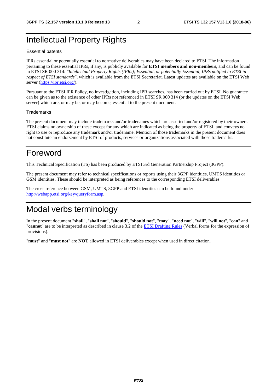# Intellectual Property Rights

#### Essential patents

IPRs essential or potentially essential to normative deliverables may have been declared to ETSI. The information pertaining to these essential IPRs, if any, is publicly available for **ETSI members and non-members**, and can be found in ETSI SR 000 314: *"Intellectual Property Rights (IPRs); Essential, or potentially Essential, IPRs notified to ETSI in respect of ETSI standards"*, which is available from the ETSI Secretariat. Latest updates are available on the ETSI Web server ([https://ipr.etsi.org/\)](https://ipr.etsi.org/).

Pursuant to the ETSI IPR Policy, no investigation, including IPR searches, has been carried out by ETSI. No guarantee can be given as to the existence of other IPRs not referenced in ETSI SR 000 314 (or the updates on the ETSI Web server) which are, or may be, or may become, essential to the present document.

#### **Trademarks**

The present document may include trademarks and/or tradenames which are asserted and/or registered by their owners. ETSI claims no ownership of these except for any which are indicated as being the property of ETSI, and conveys no right to use or reproduce any trademark and/or tradename. Mention of those trademarks in the present document does not constitute an endorsement by ETSI of products, services or organizations associated with those trademarks.

# Foreword

This Technical Specification (TS) has been produced by ETSI 3rd Generation Partnership Project (3GPP).

The present document may refer to technical specifications or reports using their 3GPP identities, UMTS identities or GSM identities. These should be interpreted as being references to the corresponding ETSI deliverables.

The cross reference between GSM, UMTS, 3GPP and ETSI identities can be found under [http://webapp.etsi.org/key/queryform.asp.](http://webapp.etsi.org/key/queryform.asp)

# Modal verbs terminology

In the present document "**shall**", "**shall not**", "**should**", "**should not**", "**may**", "**need not**", "**will**", "**will not**", "**can**" and "**cannot**" are to be interpreted as described in clause 3.2 of the [ETSI Drafting Rules](https://portal.etsi.org/Services/editHelp!/Howtostart/ETSIDraftingRules.aspx) (Verbal forms for the expression of provisions).

"**must**" and "**must not**" are **NOT** allowed in ETSI deliverables except when used in direct citation.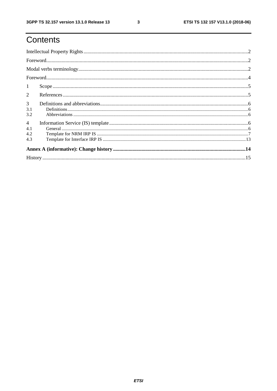# Contents

|                | $\textbf{For} \textit{word} \textit{} \textit{} \textit{} \textit{} \textit{} \textit{} \textit{} \textit{} \textit{} \textit{} \textit{} \textit{} \textit{} \textit{} \textit{} \textit{} \textit{} \textit{} \textit{} \textit{} \textit{} \textit{} \textit{} \textit{} \textit{} \textit{} \textit{} \textit{} \textit{} \textit{} \textit{} \textit{} \textit{} \textit{} \textit{$ |  |
|----------------|-------------------------------------------------------------------------------------------------------------------------------------------------------------------------------------------------------------------------------------------------------------------------------------------------------------------------------------------------------------------------------------------|--|
|                |                                                                                                                                                                                                                                                                                                                                                                                           |  |
|                |                                                                                                                                                                                                                                                                                                                                                                                           |  |
| $\mathbf{1}$   |                                                                                                                                                                                                                                                                                                                                                                                           |  |
| 2              |                                                                                                                                                                                                                                                                                                                                                                                           |  |
| 3              |                                                                                                                                                                                                                                                                                                                                                                                           |  |
| 3.1            |                                                                                                                                                                                                                                                                                                                                                                                           |  |
| 3.2            |                                                                                                                                                                                                                                                                                                                                                                                           |  |
| $\overline{4}$ |                                                                                                                                                                                                                                                                                                                                                                                           |  |
| 4.1            |                                                                                                                                                                                                                                                                                                                                                                                           |  |
| 4.2            |                                                                                                                                                                                                                                                                                                                                                                                           |  |
| 4.3            |                                                                                                                                                                                                                                                                                                                                                                                           |  |
|                |                                                                                                                                                                                                                                                                                                                                                                                           |  |
|                |                                                                                                                                                                                                                                                                                                                                                                                           |  |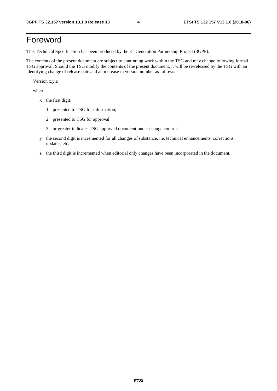# Foreword

This Technical Specification has been produced by the 3rd Generation Partnership Project (3GPP).

The contents of the present document are subject to continuing work within the TSG and may change following formal TSG approval. Should the TSG modify the contents of the present document, it will be re-released by the TSG with an identifying change of release date and an increase in version number as follows:

Version x.y.z

where:

- x the first digit:
	- 1 presented to TSG for information;
	- 2 presented to TSG for approval;
	- 3 or greater indicates TSG approved document under change control.
- y the second digit is incremented for all changes of substance, i.e. technical enhancements, corrections, updates, etc.
- z the third digit is incremented when editorial only changes have been incorporated in the document.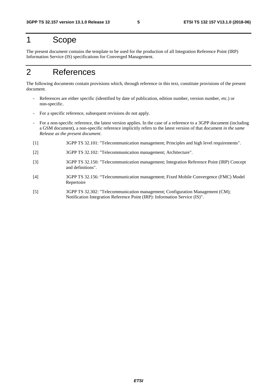# 1 Scope

The present document contains the template to be used for the production of all Integration Reference Point (IRP) Information Service (IS) specifications for Converged Management.

# 2 References

The following documents contain provisions which, through reference in this text, constitute provisions of the present document.

- References are either specific (identified by date of publication, edition number, version number, etc.) or non-specific.
- For a specific reference, subsequent revisions do not apply.
- For a non-specific reference, the latest version applies. In the case of a reference to a 3GPP document (including a GSM document), a non-specific reference implicitly refers to the latest version of that document *in the same Release as the present document*.
- [1] 3GPP TS 32.101: "Telecommunication management; Principles and high level requirements".
- [2] 3GPP TS 32.102: "Telecommunication management; Architecture".
- [3] 3GPP TS 32.150: "Telecommunication management; Integration Reference Point (IRP) Concept and definitions".
- [4] 3GPP TS 32.156: "Telecommunication management; Fixed Mobile Convergence (FMC) Model Repertoire
- [5] 3GPP TS 32.302: "Telecommunication management; Configuration Management (CM); Notification Integration Reference Point (IRP): Information Service (IS)".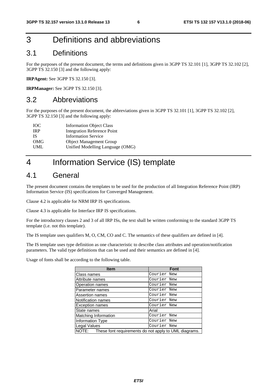# 3 Definitions and abbreviations

### 3.1 Definitions

For the purposes of the present document, the terms and definitions given in 3GPP TS 32.101 [1], 3GPP TS 32.102 [2], 3GPP TS 32.150 [3] and the following apply:

**IRPAgent:** See 3GPP TS 32.150 [3].

**IRPManager:** See 3GPP TS 32.150 [3].

### 3.2 Abbreviations

For the purposes of the present document, the abbreviations given in 3GPP TS 32.101 [1], 3GPP TS 32.102 [2], 3GPP TS 32.150 [3] and the following apply:

| <b>Information Object Class</b>  |
|----------------------------------|
| Integration Reference Point      |
| <b>Information Service</b>       |
| <b>Object Management Group</b>   |
| Unified Modelling Language (OMG) |
|                                  |

# 4 Information Service (IS) template

### 4.1 General

The present document contains the templates to be used for the production of all Integration Reference Point (IRP) Information Service (IS) specifications for Converged Management.

Clause 4.2 is applicable for NRM IRP IS specifications.

Clause 4.3 is applicable for Interface IRP IS specifications.

For the introductory clauses 2 and 3 of all IRP ISs, the text shall be written conforming to the standard 3GPP TS template (i.e. not this template).

The IS template uses qualifiers M, O, CM, CO and C. The semantics of these qualifiers are defined in [4].

The IS template uses type definition as one characteristic to describe class attributes and operation/notification parameters. The valid type definitions that can be used and their semantics are defined in [4].

Usage of fonts shall be according to the following table.

| <b>Item</b>                                                 | <b>Font</b> |
|-------------------------------------------------------------|-------------|
| Class names                                                 | Courier New |
| Attribute names                                             | Courier New |
| Operation names                                             | Courier New |
| Parameter names                                             | Courier New |
| Assertion names                                             | Courier New |
| Notification names                                          | Courier New |
| <b>Exception names</b>                                      | Courier New |
| State names                                                 | Arial       |
| Matching Information                                        | Courier New |
| Information Type                                            | Courier New |
| Legal Values                                                | Courier New |
| NOTE: These font requirements do not apply to UML diagrams. |             |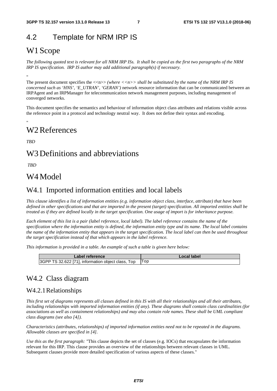### 4.2 Template for NRM IRP IS

### W1 Scope

*The following quoted text is relevant for all NRM IRP ISs. It shall be copied as the first two paragraphs of the NRM IRP IS specification. IRP IS author may add additional paragraph(s) if necessary.* 

"

The present document specifies the  $\langle \langle n \rangle \rangle$  (where  $\langle \langle n \rangle \rangle$  shall be substituted by the name of the NRM IRP IS *concerned such as 'HNS', 'E\_UTRAN', 'GERAN')* network resource information that can be communicated between an IRPAgent and an IRPManager for telecommunication network management purposes, including management of converged networks.

This document specifies the semantics and behaviour of information object class attributes and relations visible across the reference point in a protocol and technology neutral way. It does not define their syntax and encoding.

### W2 References

*TBD* 

"

### W3 Definitions and abbreviations

 *TBD* 

### W4 Model

### W4.1 Imported information entities and local labels

*This clause identifies a list of information entities (e.g. information object class, interface, attribute) that have been defined in other specifications and that are imported in the present (target) specification. All imported entities shall be treated as if they are defined locally in the target specification. One usage of import is for inheritance purpose.* 

*Each element of this list is a pair (label reference, local label). The label reference contains the name of the specification where the information entity is defined, the information entity type and its name. The local label contains the name of the information entity that appears in the target specification. The local label can then be used throughout the target specification instead of that which appears in the label reference.* 

*This information is provided in a table. An example of such a table is given here below:* 

| Label reference                                    | Local label |
|----------------------------------------------------|-------------|
| 3GPP TS 32.622 [71], information object class, Top |             |

### W4.2 Class diagram

#### W4.2.1 Relationships

*This first set of diagrams represents all classes defined in this IS with all their relationships and all their attributes, including relationships with imported information entities (if any). These diagrams shall contain class cardinalities (for associations as well as containment relationships) and may also contain role names. These shall be UML compliant class diagrams (see also [*4*]).* 

*Characteristics (attributes, relationships) of imported information entities need not to be repeated in the diagrams. Allowable classes are specified in [4].* 

*Use this as the first paragraph: "*This clause depicts the set of classes (e.g. IOCs) that encapsulates the information relevant for this IRP. This clause provides an overview of the relationships between relevant classes in UML. Subsequent clauses provide more detailed specification of various aspects of these classes."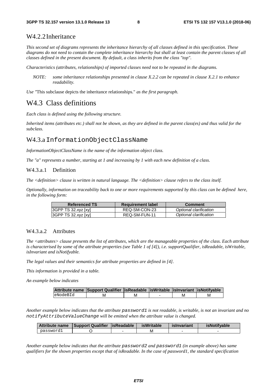#### W4.2.2 Inheritance

*This second set of diagrams represents the inheritance hierarchy of all classes defined in this specification. These diagrams do not need to contain the complete inheritance hierarchy but shall at least contain the parent classes of all classes defined in the present document. By default, a class inherits from the class "top".* 

*Characteristics (attributes, relationships) of imported classes need not to be repeated in the diagrams.* 

*NOTE: some inheritance relationships presented in clause X.2.2 can be repeated in clause X.2.1 to enhance readability.* 

*Use "*This subclause depicts the inheritance relationships." *as the first paragraph.*

### W4.3 Class definitions

*Each class is defined using the following structure.* 

*Inherited items (attributes etc.) shall not be shown, as they are defined in the parent class(es) and thus valid for the subclass.* 

#### W4.3.a InformationObjectClassName

*InformationObjectClassName is the name of the information object class.* 

*The "a" represents a number, starting at 1 and increasing by 1 with each new definition of a class.* 

#### W4.3.a.1 Definition

*The <definition> clause is written in natural language. The <definition> clause refers to the class itself.* 

*Optionally, information on traceability back to one or more requirements supported by this class can be defined here, in the following form:* 

| <b>Referenced TS</b> | <b>Requirement label</b> | <b>Comment</b>         |
|----------------------|--------------------------|------------------------|
| 3GPP TS 32.xyz [xy]  | REQ-SM-CON-23            | Optional clarification |
| 3GPP TS 32.xyz [xy]  | REQ-SM-FUN-11            | Optional clarification |

#### W4.3.a.2 Attributes

*The <attributes> clause presents the list of attributes, which are the manageable properties of the class. Each attribute is characterised by some of the attribute properties (see Table 1 of [4]), i.e. supportQualifier, isReadable, isWritable, isInvariant and isNotifyable.* 

*The legal values and their semantics for attribute properties are defined in [4].* 

*This information is provided in a table.* 

*An example below indicates*

|           | Attribute name Support Qualifier   isReadable   isWritable   isInvariant   isNotifyable |   |   |   |
|-----------|-----------------------------------------------------------------------------------------|---|---|---|
| leNodeBId | N                                                                                       | M | м | M |

*Another example below indicates that the attribute password1 is not readable, is writable, is not an invariant and no notifyAttributeValueChange will be emitted when the attribute value is changed.* 

| Attribute name | Support Qualifier   is Readable | <b>isWritable</b> | islnvariant | <b>isNotifvable</b> |
|----------------|---------------------------------|-------------------|-------------|---------------------|
| password1      |                                 | М                 |             |                     |

*Another example below indicates that the attribute password2 and password1 (in example above) has same qualifiers for the shown properties except that of isReadable. In the case of password1, the standard specification*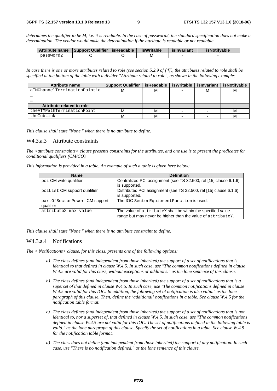*determines the qualifier to be M, i.e. it is readable. In the case of password2, the standard specification does not make a determination. The vendor would make the determination if the attribute is readable or not readable.* 

| Attribute name | Support Qualifier   is Readable | <b>isWritable</b> | islnvariant | <b>isNotifvable</b> |
|----------------|---------------------------------|-------------------|-------------|---------------------|
| password2      |                                 | М                 |             |                     |

*In case there is one or more attributes related to role (see section 5.2.9 of [4]), the attributes related to role shall be specified at the bottom of the table with a divider "Attribute related to role", as shown in the following example:* 

| Attribute name               | <b>Support Qualifier</b> | isReadable | isWritable | islnvariant | <b>isNotifvable</b> |
|------------------------------|--------------------------|------------|------------|-------------|---------------------|
| aTMChannelTerminationPointid | M                        |            |            | м           |                     |
|                              |                          |            |            |             |                     |
|                              |                          |            |            |             |                     |
| Attribute related to role    |                          |            |            |             |                     |
| theATMPathTerminationPoint   | м                        |            |            |             | м                   |
| theIubLink                   | м                        |            |            |             |                     |

*This clause shall state "None." when there is no attribute to define.*

#### W4.3.a.3 Attribute constraints

*The <attribute constraints> clause presents constraints for the attributes, and one use is to present the predicates for conditional qualifiers (CM/CO).* 

*This information is provided in a table. An example of such a table is given here below:* 

| <b>Name</b>                  | <b>Definition</b>                                                 |
|------------------------------|-------------------------------------------------------------------|
| pci CM write qualifier       | Centralized PCI assignment (see TS 32.500, ref [15] clause 6.1.6) |
|                              | is supported.                                                     |
| pcilist CM support qualifier | Distributed PCI assignment (see TS 32.500, ref [15] clause 6.1.6) |
|                              | is supported.                                                     |
| partOfSectorPower CM support | The IOC SectorEquipmentFunction is used.                          |
| qualifier                    |                                                                   |
| attributeX max value         | The value of attributeX shall be within the specified value       |
|                              | range but may never be higher than the value of attributeY.       |

*This clause shall state "None." when there is no attribute constraint to define.* 

#### W4.3.a.4 Notifications

*The < Notifications> clause, for this class, presents one of the following options:* 

- *a) The class defines (and independent from those inherited) the support of a set of notifications that is identical to that defined in clause W.4.5. In such case, use "The common notifications defined in clause W.4.5 are valid for this class, without exceptions or additions." as the lone sentence of this clause.*
- *b) The class defines (and independent from those inherited) the support of a set of notifications that is a superset of that defined in clause W.4.5. In such case, use "The common notifications defined in clause W.4.5 are valid for this IOC. In addition, the following set of notification is also valid." as the lone paragraph of this clause. Then, define the 'additional' notifications in a table. See clause W.4.5 for the notification table format.*
- *c) The class defines (and independent from those inherited) the support of a set of notifications that is not identical to, nor a superset of, that defined in clause W.4.5. In such case, use "The common notifications defined in clause W.4.5 are not valid for this IOC. The set of notifications defined in the following table is valid." as the lone paragraph of this clause. Specify the set of notifications in a table. See clause W.4.5 for the notification table format.*
- *d) The class does not define (and independent from those inherited) the support of any notification. In such case, use "There is no notification defined." as the lone sentence of this clause.*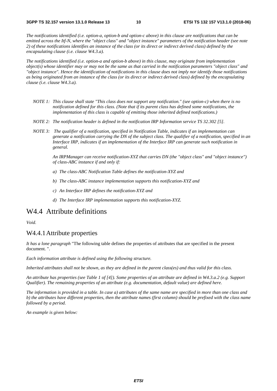*The notifications identified (i.e. option-a, option-b and option-c above) in this clause are notifications that can be emitted across the Itf-N, where the "object class" and "object instance" parameters of the notification header (see note 2) of these notifications identifies an instance of the class (or its direct or indirect derived class) defined by the encapsulating clause (i.e. clause W4.3.a).* 

*The notifications identified (i.e. option-a and option-b above) in this clause, may originate from implementation object(s) whose identifier may or may not be the same as that carried in the notification parameters "object class" and "object instance". Hence the identification of notifications in this clause does not imply nor identify those notifications as being originated from an instance of the class (or its direct or indirect derived class) defined by the encapsulating clause (i.e. clause W4.3.a).* 

- *NOTE 1: This clause shall state "This class does not support any notification." (see option-c) when there is no notification defined for this class. (Note that if its parent class has defined some notifications, the implementation of this class is capable of emitting those inherited defined notifications.)*
- *NOTE 2: The notification header is defined in the notification IRP Information service TS 32.302 [5].*
- *NOTE 3: The qualifier of a notification, specified in Notification Table, indicates if an implementation can generate a notification carrying the DN of the subject class. The qualifier of a notification, specified in an Interface IRP, indicates if an implementation of the Interface IRP can generate such notification in general.*

*An IRPManager can receive notification-XYZ that carries DN (the "object class" and "object instance") of class-ABC instance if and only if:* 

- *a) The class-ABC Notification Table defines the notification-XYZ and*
- *b) The class-ABC instance implementation supports this notification-XYZ and*
- *c) An Interface IRP defines the notification-XYZ and*
- *d) The Interface IRP implementation supports this notification-XYZ.*

### W4.4 Attribute definitions

*Void.* 

#### W4.4.1 Attribute properties

*It has a lone paragraph* "The following table defines the properties of attributes that are specified in the present document. ".

*Each information attribute is defined using the following structure.* 

*Inherited attributes shall not be shown, as they are defined in the parent class(es) and thus valid for this class.* 

*An attribute has properties (see Table 1 of [4]). Some properties of an attribute are defined in W4.3.a.2 (e.g. Support Qualifier). The remaining properties of an attribute (e.g. documentation, default value) are defined here.* 

*The information is provided in a table. In case a) attributes of the same name are specified in more than one class and b) the attributes have different properties, then the attribute names (first column) should be prefixed with the class name followed by a period.* 

*An example is given below:*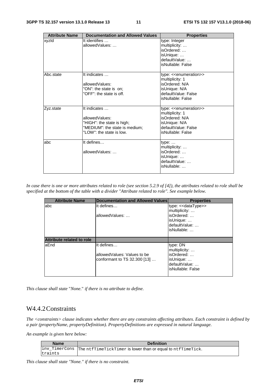| <b>Attribute Name</b> | <b>Documentation and Allowed Values</b>                                                                                    | <b>Properties</b>                                                                                                                              |
|-----------------------|----------------------------------------------------------------------------------------------------------------------------|------------------------------------------------------------------------------------------------------------------------------------------------|
| xyzld                 | It identifies<br>allowedValues:                                                                                            | type: Integer<br>multiplicity:<br>isOrdered:<br>isUnique:<br>defaultValue:<br>isNullable: False                                                |
| Abc.state             | It indicates<br>allowedValues:<br>"ON": the state is on;<br>"OFF": the state is off.                                       | type: < <enumeration>&gt;<br/>multiplicity: 1<br/>isOrdered: N/A<br/>isUnique: N/A<br/>defaultValue: False<br/>isNullable: False</enumeration> |
| Zyz.state             | It indicates<br>allowedValues:<br>"HIGH": the state is high;<br>"MEDIUM": the state is medium;<br>"LOW": the state is low. | type: < <enumeration>&gt;<br/>multiplicity: 1<br/>isOrdered: N/A<br/>isUnique: N/A<br/>defaultValue: False<br/>isNullable: False</enumeration> |
| labc                  | It defines<br>allowedValues:                                                                                               | type: $\dots$<br>multiplicity:<br>isOrdered:<br>isUnique:<br>defaultValue:<br>isNullable:                                                      |

*In case there is one or more attributes related to role (see section 5.2.9 of [4]), the attributes related to role shall be specified at the bottom of the table with a divider "Attribute related to role". See example below.* 

| <b>Attribute Name</b>            | Documentation and Allowed Values | <b>Properties</b>                 |
|----------------------------------|----------------------------------|-----------------------------------|
| abc                              | It defines                       | type: < <datatype>&gt;</datatype> |
|                                  |                                  | multiplicity:                     |
|                                  | allowedValues:                   | isOrdered:                        |
|                                  |                                  | isUnique:                         |
|                                  |                                  | defaultValue:                     |
|                                  |                                  | isNullable:                       |
|                                  |                                  |                                   |
| <b>Attribute related to role</b> |                                  |                                   |
| aEnd                             | It defines                       | type: DN                          |
|                                  |                                  | multiplicity:                     |
|                                  | allowedValues: Values to be      | isOrdered:                        |
|                                  | conformant to TS 32.300 [13]     | isUnique:                         |
|                                  |                                  | defaultValue:                     |
|                                  |                                  | isNullable: False                 |
|                                  |                                  |                                   |

*This clause shall state* "*None.*" *if there is no attribute to define.* 

### W4.4.2 Constraints

*The <constraints> clause indicates whether there are any constraints affecting attributes. Each constraint is defined by a pair (propertyName, propertyDefinition). PropertyDefinitions are expressed in natural language.* 

*An example is given here below:* 

| <b>Name</b> | <b>Definition</b>                                                          |
|-------------|----------------------------------------------------------------------------|
|             | inv_TimerCons  The ntfTimeTickTimer is lower than or equal to ntfTimeTick. |
| traints     |                                                                            |

*This clause shall state "None." if there is no constraint.*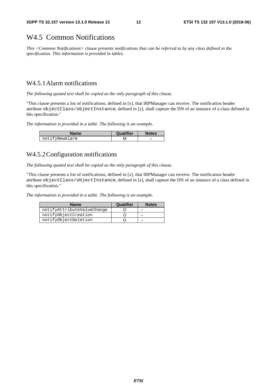### W4.5 Common Notifications

*This <Common Notifications> clause presents notifications that can be referred to by any class defined in the specification. This information is provided in tables.* 

### W4.5.1 Alarm notifications

*The following quoted text shall be copied as the only paragraph of this clause.* 

"This clause presents a list of notifications, defined in [x], that IRPManager can receive. The notification header attribute objectClass/objectInstance, defined in [y], shall capture the DN of an instance of a class defined in this specification."

*The information is provided in a table. The following is an example.* 

| Name           | Qualifier | <b>Notes</b> |
|----------------|-----------|--------------|
| notifyNewAlarm |           | --           |

### W4.5.2 Configuration notifications

*The following quoted text shall be copied as the only paragraph of this clause.* 

"This clause presents a list of notifications, defined in [x], that IRPManager can receive. The notification header attribute objectClass/objectInstance, defined in [z], shall capture the DN of an instance of a class defined in this specification."

*The information is provided in a table. The following is an example.* 

| <b>Name</b>                | Qualifier | <b>Notes</b> |
|----------------------------|-----------|--------------|
| notifyAttributeValueChange |           | --           |
| notifyObjectCreation       |           | --           |
| notifyObjectDeletion       |           | --           |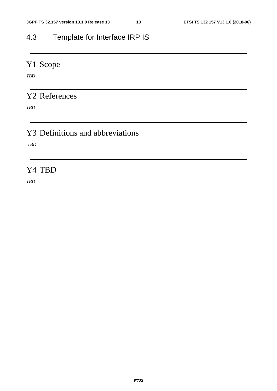# 4.3 Template for Interface IRP IS

# Y1 Scope

*TBD* 

# Y2 References

*TBD* 

# Y3 Definitions and abbreviations

 *TBD* 

### Y4 TBD

*TBD*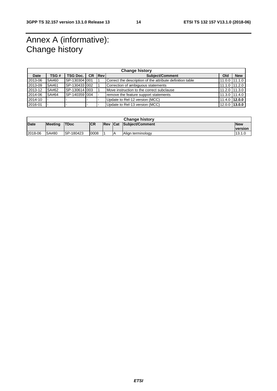# Annex A (informative): Change history

| <b>Change history</b> |       |                   |           |              |                                                           |                 |                 |
|-----------------------|-------|-------------------|-----------|--------------|-----------------------------------------------------------|-----------------|-----------------|
| Date                  | TSG # | <b>TSG Doc.</b> I | <b>CR</b> | <b>IRevI</b> | <b>Subiect/Comment</b>                                    | Old             | <b>New</b>      |
| 2013-06               | SA#60 | SP-130304 001     |           |              | Correct the description of the attribute definition table |                 | 11.0.0 11.1.0   |
| 2013-09               | SA#61 | SP-130433 002     |           |              | Correction of ambiguous statements                        | 11.1.0 11.2.0   |                 |
| 2013-12               | SA#62 | SP-130614 003     |           |              | Move instruction to the correct subclause                 | 11.2.0 11.3.0   |                 |
| 2014-06               | SA#64 | SP-140359 004     |           |              | remove the feature support statements                     |                 | 11.3.0 11.4.0   |
| 2014-10               |       |                   |           |              | Update to Rel-12 version (MCC)                            | $11.4.0$ 12.0.0 |                 |
| 2016-01               |       |                   |           |              | Update to Rel-13 version (MCC)                            |                 | $12.0.0$ 13.0.0 |

| <b>Change history</b> |                |                   |            |             |            |                   |                               |
|-----------------------|----------------|-------------------|------------|-------------|------------|-------------------|-------------------------------|
| Date                  | <b>Meeting</b> | <b>TDoc</b>       | <b>ICR</b> | <b>IRev</b> | <b>Cat</b> | Subject/Comment   | <b>New</b><br><u>Iversion</u> |
| 2018-06               | SA#80          | <b>ISP-180423</b> | 0008       |             |            | Align terminology | 13.1.0                        |